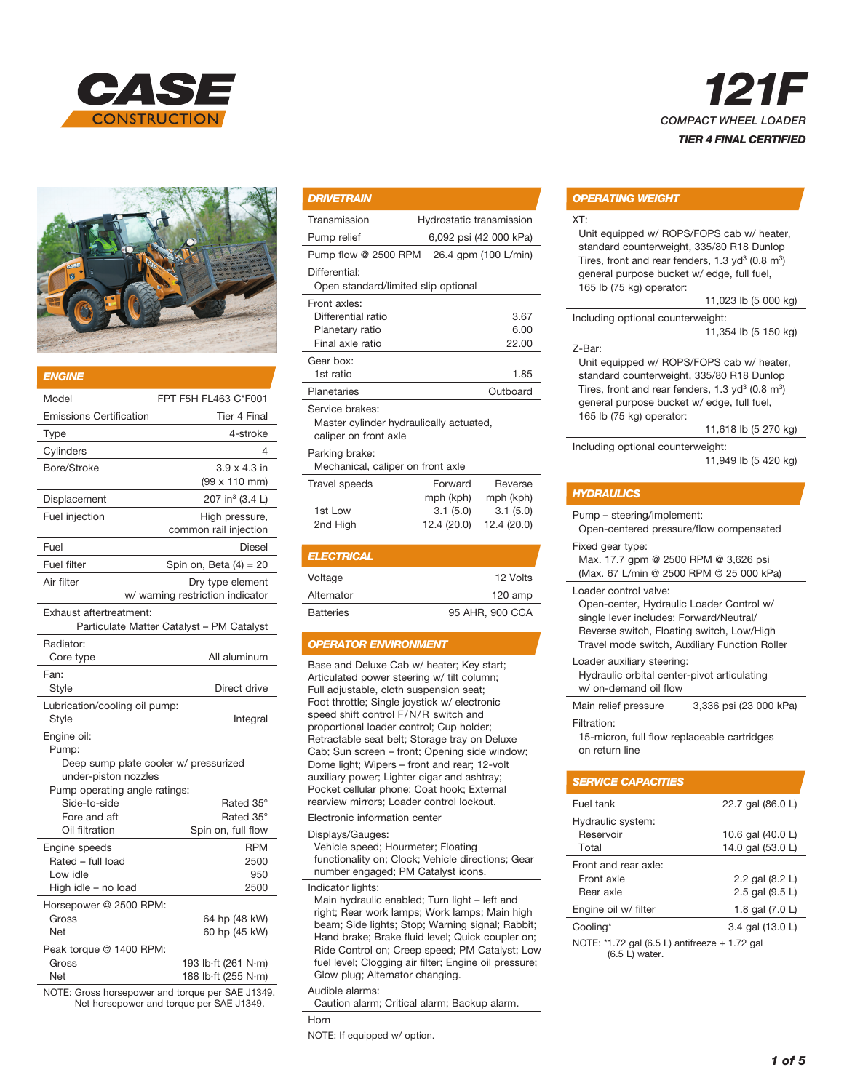



| <b>ENGINE</b>                                                                                                                   |                                                                                       |
|---------------------------------------------------------------------------------------------------------------------------------|---------------------------------------------------------------------------------------|
| Model                                                                                                                           | FPT F5H FL463 C*F001                                                                  |
| <b>Emissions Certification</b>                                                                                                  | <b>Tier 4 Final</b>                                                                   |
| Type                                                                                                                            | 4-stroke                                                                              |
| Cylinders                                                                                                                       | 4                                                                                     |
| Bore/Stroke                                                                                                                     | $3.9 \times 4.3$ in<br>(99 x 110 mm)                                                  |
| Displacement                                                                                                                    | 207 in <sup>3</sup> (3.4 L)                                                           |
| Fuel injection                                                                                                                  | High pressure,<br>common rail injection                                               |
| Fuel                                                                                                                            | <b>Diesel</b>                                                                         |
| <b>Fuel filter</b>                                                                                                              | Spin on, Beta $(4) = 20$                                                              |
| Air filter                                                                                                                      | Dry type element<br>w/ warning restriction indicator                                  |
| Exhaust aftertreatment:                                                                                                         | Particulate Matter Catalyst - PM Catalyst                                             |
| Radiator:<br>Core type                                                                                                          | All aluminum                                                                          |
| Fan:<br>Style                                                                                                                   | Direct drive                                                                          |
| Lubrication/cooling oil pump:<br>Style                                                                                          | Integral                                                                              |
| Engine oil:<br>Pump:<br>under-piston nozzles<br>Pump operating angle ratings:<br>Side-to-side<br>Fore and aft<br>Oil filtration | Deep sump plate cooler w/ pressurized<br>Rated 35°<br>Rated 35°<br>Spin on, full flow |
| Engine speeds<br>Rated - full load<br>Low idle<br>High idle - no load                                                           | <b>RPM</b><br>2500<br>950<br>2500                                                     |
| Horsepower @ 2500 RPM:<br>Gross<br>Net<br>Peak torque @ 1400 RPM:                                                               | 64 hp (48 kW)<br>60 hp (45 kW)                                                        |
| Gross<br>Net                                                                                                                    | 193 lb·ft (261 N·m)<br>188 lb·ft (255 N·m)                                            |

NOTE: Gross horsepower and torque per SAE J1349. Net horsepower and torque per SAE J1349.

| <b>DRIVETRAIN</b>                                                                   |                          |             |  |
|-------------------------------------------------------------------------------------|--------------------------|-------------|--|
| Transmission                                                                        | Hydrostatic transmission |             |  |
| Pump relief                                                                         | 6,092 psi (42 000 kPa)   |             |  |
| Pump flow @ 2500 RPM                                                                | 26.4 gpm (100 L/min)     |             |  |
| Differential:<br>Open standard/limited slip optional                                |                          |             |  |
| Front axles:                                                                        |                          |             |  |
| Differential ratio                                                                  |                          | 3.67        |  |
| Planetary ratio                                                                     |                          | 6.00        |  |
| Final axle ratio                                                                    |                          | 22.00       |  |
| Gear box:                                                                           |                          |             |  |
| 1st ratio                                                                           |                          | 1.85        |  |
| Planetaries                                                                         |                          | Outboard    |  |
| Service brakes:<br>Master cylinder hydraulically actuated,<br>caliper on front axle |                          |             |  |
| Parking brake:                                                                      |                          |             |  |
| Mechanical, caliper on front axle                                                   |                          |             |  |
| <b>Travel speeds</b>                                                                | Forward                  | Reverse     |  |
|                                                                                     | mph (kph)                | mph (kph)   |  |
| 1st Low                                                                             | 3.1(5.0)                 | 3.1(5.0)    |  |
| 2nd Hiah                                                                            | 12.4 (20.0)              | 12.4 (20.0) |  |

#### *ELECTRICAL*

| Voltage          | 12 Volts        |
|------------------|-----------------|
| Alternator       | $120$ amp       |
| <b>Batteries</b> | 95 AHR, 900 CCA |

## *OPERATOR ENVIRONMENT*

Base and Deluxe Cab w/ heater; Key start; Articulated power steering w/ tilt column; Full adjustable, cloth suspension seat; Foot throttle; Single joystick w/ electronic speed shift control F/N/R switch and proportional loader control; Cup holder; Retractable seat belt; Storage tray on Deluxe Cab; Sun screen – front; Opening side window; Dome light; Wipers – front and rear; 12-volt auxiliary power; Lighter cigar and ashtray; Pocket cellular phone; Coat hook; External rearview mirrors; Loader control lockout.

Electronic information center Displays/Gauges: Vehicle speed; Hourmeter; Floating functionality on; Clock; Vehicle directions; Gear number engaged; PM Catalyst icons.

Indicator lights: Main hydraulic enabled; Turn light – left and right; Rear work lamps; Work lamps; Main high beam; Side lights; Stop; Warning signal; Rabbit; Hand brake; Brake fluid level; Quick coupler on; Ride Control on; Creep speed; PM Catalyst; Low fuel level; Clogging air filter; Engine oil pressure; Glow plug; Alternator changing.

Audible alarms:

Caution alarm; Critical alarm; Backup alarm.

Horn

NOTE: If equipped w/ option.



### *OPERATING WEIGHT*

XT:

Unit equipped w/ ROPS/FOPS cab w/ heater, standard counterweight, 335/80 R18 Dunlop Tires, front and rear fenders,  $1.3$  yd<sup>3</sup> (0.8 m<sup>3</sup>) general purpose bucket w/ edge, full fuel, 165 lb (75 kg) operator:

#### 11,023 lb (5 000 kg)

Including optional counterweight: 11,354 lb (5 150 kg) Z-Bar:

Unit equipped w/ ROPS/FOPS cab w/ heater, standard counterweight, 335/80 R18 Dunlop Tires, front and rear fenders,  $1.3$  yd<sup>3</sup> (0.8 m<sup>3</sup>) general purpose bucket w/ edge, full fuel, 165 lb (75 kg) operator:

11,618 lb (5 270 kg)

Including optional counterweight:

```
 11,949 lb (5 420 kg)
```

|                                                                                                     | <b>HYDRAULICS</b>                                                                                                                                                                                          |  |
|-----------------------------------------------------------------------------------------------------|------------------------------------------------------------------------------------------------------------------------------------------------------------------------------------------------------------|--|
|                                                                                                     | Pump – steering/implement:<br>Open-centered pressure/flow compensated                                                                                                                                      |  |
| Fixed gear type:<br>Max. 17.7 gpm @ 2500 RPM @ 3,626 psi<br>(Max. 67 L/min @ 2500 RPM @ 25 000 kPa) |                                                                                                                                                                                                            |  |
|                                                                                                     | Loader control valve:<br>Open-center, Hydraulic Loader Control w/<br>single lever includes: Forward/Neutral/<br>Reverse switch, Floating switch, Low/High<br>Travel mode switch, Auxiliary Function Roller |  |
|                                                                                                     | Loader auxiliary steering:<br>Hydraulic orbital center-pivot articulating<br>w/ on-demand oil flow                                                                                                         |  |
|                                                                                                     | 3,336 psi (23 000 kPa)<br>Main relief pressure                                                                                                                                                             |  |
|                                                                                                     | Filtration:<br>15-micron, full flow replaceable cartridges                                                                                                                                                 |  |

on return line

| <b>SERVICE CAPACITIES</b>                                      |                     |  |
|----------------------------------------------------------------|---------------------|--|
| Fuel tank                                                      | 22.7 gal (86.0 L)   |  |
| Hydraulic system:                                              |                     |  |
| Reservoir                                                      | 10.6 gal $(40.0 L)$ |  |
| Total                                                          | 14.0 gal (53.0 L)   |  |
| Front and rear axle:                                           |                     |  |
| Front axle                                                     | 2.2 gal (8.2 L)     |  |
| Rear axle                                                      | 2.5 gal (9.5 L)     |  |
| Engine oil w/ filter                                           | 1.8 gal (7.0 L)     |  |
| Cooling*                                                       | 3.4 gal (13.0 L)    |  |
| $N$ OTE $\cdot$ *1.79 and $(6.51)$ antifracts $\cdot$ 1.79 and |                     |  |

'1.72 gal (6.5 L) antifreeze + 1.72 gal (6.5 L) water.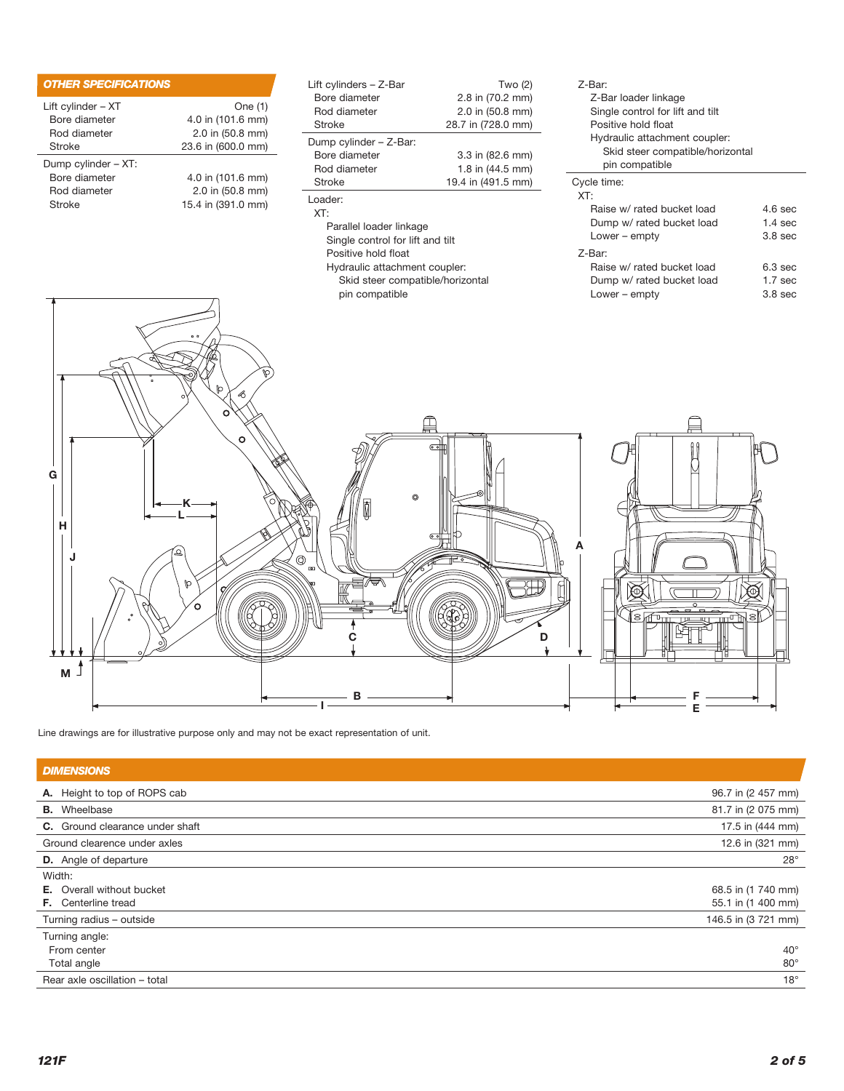| <b>OTHER SPECIFICATIONS</b> |                    |
|-----------------------------|--------------------|
| Lift cylinder – XT          | One (1)            |
| Bore diameter               | 4.0 in (101.6 mm)  |
| Rod diameter                | 2.0 in (50.8 mm)   |
| Stroke                      | 23.6 in (600.0 mm) |
| Dump cylinder - XT:         |                    |
| Bore diameter               | 4.0 in (101.6 mm)  |
| Rod diameter                | 2.0 in (50.8 mm)   |
| Stroke                      | 15.4 in (391.0 mm) |

| Lift cylinders $-$ Z-Bar<br>Bore diameter<br>Rod diameter<br>Stroke | Two (2)<br>2.8 in (70.2 mm)<br>$2.0$ in $(50.8$ mm)<br>28.7 in (728.0 mm) |  |
|---------------------------------------------------------------------|---------------------------------------------------------------------------|--|
| Dump cylinder - Z-Bar:                                              |                                                                           |  |
| Bore diameter                                                       | 3.3 in (82.6 mm)                                                          |  |
| Rod diameter                                                        | 1.8 in $(44.5 \text{ mm})$                                                |  |
| Stroke                                                              | 19.4 in (491.5 mm)                                                        |  |
| Loader:<br>XT:                                                      |                                                                           |  |
| Parallel loader linkage                                             |                                                                           |  |
| Single control for lift and tilt                                    |                                                                           |  |
| Positive hold float                                                 |                                                                           |  |
| Hydraulic attachment coupler:                                       |                                                                           |  |

| F VƏILIVE TIVIY TIVAL            |
|----------------------------------|
| Hydraulic attachment coupler:    |
| Skid steer compatible/horizontal |
| pin compatible                   |

| 7-Bar:                           |                    |
|----------------------------------|--------------------|
| Z-Bar loader linkage             |                    |
| Single control for lift and tilt |                    |
| Positive hold float              |                    |
| Hydraulic attachment coupler:    |                    |
| Skid steer compatible/horizontal |                    |
| pin compatible                   |                    |
| Cycle time:                      |                    |
| XT:                              |                    |
| Raise w/ rated bucket load       | $4.6$ sec          |
| Dump w/ rated bucket load        | $1.4 \text{ sec}$  |
| Lower $-$ empty                  | $3.8$ sec          |
| Z-Bar:                           |                    |
| Raise w/ rated bucket load       | 6.3 sec            |
| Dump w/ rated bucket load        | 1.7 <sub>sec</sub> |

Lower – empty 3.8 sec



Line drawings are for illustrative purpose only and may not be exact representation of unit.

| <b>DIMENSIONS</b>                |                     |
|----------------------------------|---------------------|
| A. Height to top of ROPS cab     | 96.7 in (2 457 mm)  |
| <b>B.</b> Wheelbase              | 81.7 in (2 075 mm)  |
| C. Ground clearance under shaft  | 17.5 in (444 mm)    |
| Ground clearence under axles     | 12.6 in (321 mm)    |
| <b>D.</b> Angle of departure     | $28^\circ$          |
| Width:                           |                     |
| <b>E.</b> Overall without bucket | 68.5 in (1 740 mm)  |
| <b>F.</b> Centerline tread       | 55.1 in (1 400 mm)  |
| Turning radius - outside         | 146.5 in (3 721 mm) |
| Turning angle:                   |                     |
| From center                      | $40^{\circ}$        |
| Total angle                      | $80^\circ$          |
| Rear axle oscillation - total    | $18^\circ$          |
|                                  |                     |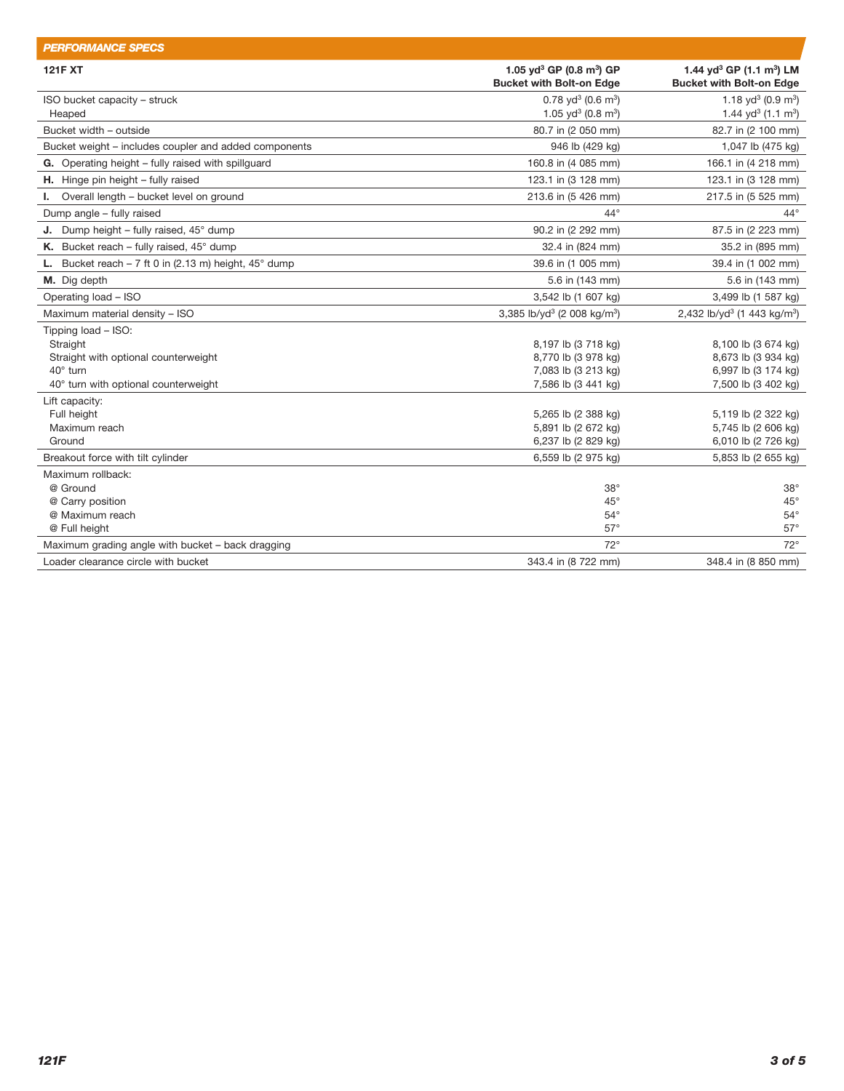| <b>PERFORMANCE SPECS</b>                                                |                                                     |                                                     |
|-------------------------------------------------------------------------|-----------------------------------------------------|-----------------------------------------------------|
| <b>121F XT</b>                                                          | 1.05 yd <sup>3</sup> GP (0.8 m <sup>3</sup> ) GP    | 1.44 yd <sup>3</sup> GP $(1.1 \text{ m}^3)$ LM      |
|                                                                         | <b>Bucket with Bolt-on Edge</b>                     | <b>Bucket with Bolt-on Edge</b>                     |
| ISO bucket capacity - struck                                            | $0.78$ yd <sup>3</sup> (0.6 m <sup>3</sup> )        | 1.18 yd <sup>3</sup> (0.9 m <sup>3</sup> )          |
| Heaped                                                                  | 1.05 yd <sup>3</sup> (0.8 m <sup>3</sup> )          | 1.44 yd <sup>3</sup> (1.1 m <sup>3</sup> )          |
| Bucket width - outside                                                  | 80.7 in (2 050 mm)                                  | 82.7 in (2 100 mm)                                  |
| Bucket weight - includes coupler and added components                   | 946 lb (429 kg)                                     | 1,047 lb (475 kg)                                   |
| G. Operating height - fully raised with spillguard                      | 160.8 in (4 085 mm)                                 | 166.1 in (4 218 mm)                                 |
| <b>H.</b> Hinge pin height $-$ fully raised                             | 123.1 in (3 128 mm)                                 | 123.1 in (3 128 mm)                                 |
| Overall length - bucket level on ground<br>L.                           | 213.6 in (5 426 mm)                                 | 217.5 in (5 525 mm)                                 |
| Dump angle - fully raised                                               | $44^{\circ}$                                        | $44^{\circ}$                                        |
| <b>J.</b> Dump height – fully raised, $45^{\circ}$ dump                 | 90.2 in (2 292 mm)                                  | 87.5 in (2 223 mm)                                  |
| K. Bucket reach – fully raised, $45^{\circ}$ dump                       | 32.4 in (824 mm)                                    | 35.2 in (895 mm)                                    |
| <b>L.</b> Bucket reach $-7$ ft 0 in (2.13 m) height, 45 $^{\circ}$ dump | 39.6 in (1 005 mm)                                  | 39.4 in (1 002 mm)                                  |
| M. Dig depth                                                            | 5.6 in (143 mm)                                     | 5.6 in (143 mm)                                     |
| Operating load - ISO                                                    | 3,542 lb (1 607 kg)                                 | 3,499 lb (1 587 kg)                                 |
| Maximum material density - ISO                                          | 3,385 lb/yd <sup>3</sup> (2 008 kg/m <sup>3</sup> ) | 2,432 lb/yd <sup>3</sup> (1 443 kg/m <sup>3</sup> ) |
| Tipping load - ISO:                                                     |                                                     |                                                     |
| Straight                                                                | 8,197 lb (3 718 kg)                                 | 8,100 lb (3 674 kg)                                 |
| Straight with optional counterweight                                    | 8,770 lb (3 978 kg)                                 | 8,673 lb (3 934 kg)                                 |
| 40° turn                                                                | 7,083 lb (3 213 kg)                                 | 6,997 lb (3 174 kg)                                 |
| 40° turn with optional counterweight                                    | 7,586 lb (3 441 kg)                                 | 7,500 lb (3 402 kg)                                 |
| Lift capacity:                                                          |                                                     |                                                     |
| Full height                                                             | 5,265 lb (2 388 kg)                                 | 5,119 lb (2 322 kg)                                 |
| Maximum reach                                                           | 5,891 lb (2 672 kg)                                 | 5,745 lb (2 606 kg)                                 |
| Ground                                                                  | 6,237 lb (2 829 kg)                                 | 6,010 lb (2 726 kg)                                 |
| Breakout force with tilt cylinder                                       | 6,559 lb (2 975 kg)                                 | 5,853 lb (2 655 kg)                                 |
| Maximum rollback:                                                       |                                                     |                                                     |
| @ Ground                                                                | $38^\circ$                                          | $38^\circ$                                          |
| @ Carry position                                                        | $45^{\circ}$                                        | $45^{\circ}$                                        |
| @ Maximum reach                                                         | $54^{\circ}$                                        | $54^{\circ}$                                        |
| @ Full height                                                           | $57^\circ$                                          | $57^\circ$                                          |
| Maximum grading angle with bucket - back dragging                       | $72^{\circ}$                                        | $72^\circ$                                          |
| Loader clearance circle with bucket                                     | 343.4 in (8 722 mm)                                 | 348.4 in (8 850 mm)                                 |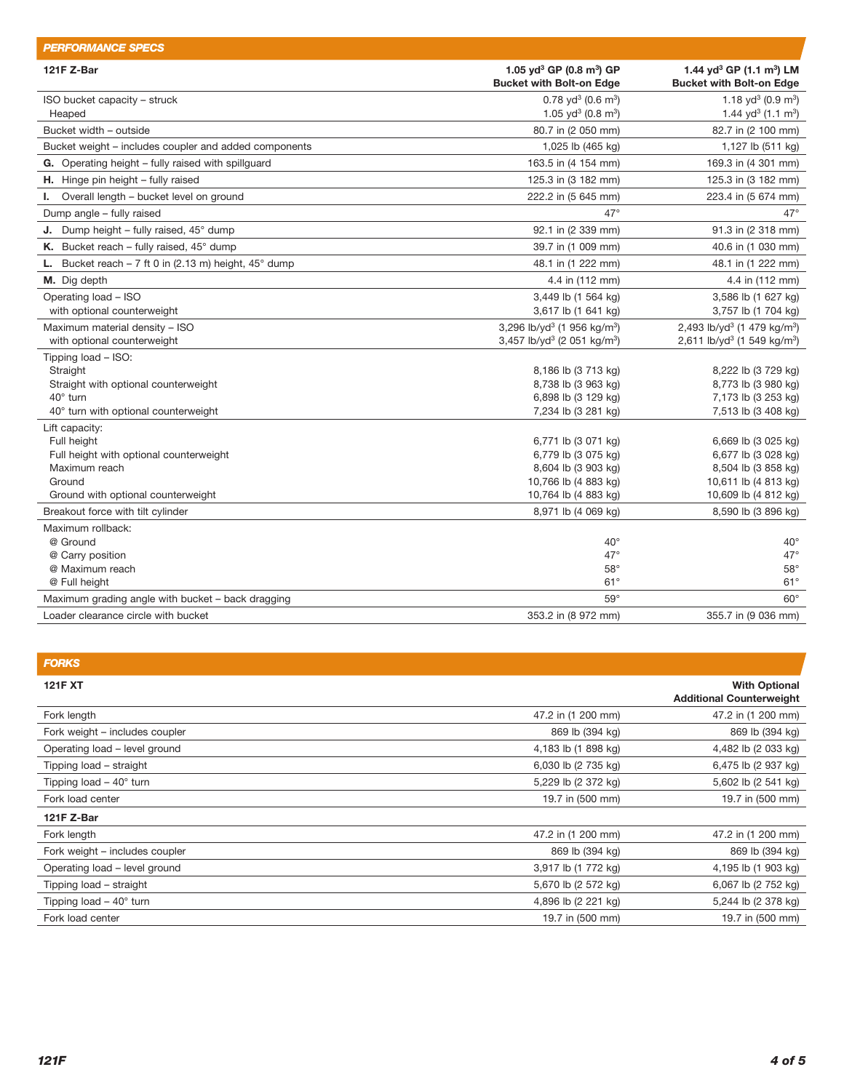| <b>PERFORMANCE SPECS</b>                                                |                                                                                     |                                                                                     |
|-------------------------------------------------------------------------|-------------------------------------------------------------------------------------|-------------------------------------------------------------------------------------|
| 121F Z-Bar                                                              | 1.05 yd <sup>3</sup> GP (0.8 m <sup>3</sup> ) GP<br><b>Bucket with Bolt-on Edge</b> | 1.44 yd <sup>3</sup> GP (1.1 m <sup>3</sup> ) LM<br><b>Bucket with Bolt-on Edge</b> |
| ISO bucket capacity - struck                                            | $0.78$ yd <sup>3</sup> (0.6 m <sup>3</sup> )                                        | 1.18 yd <sup>3</sup> (0.9 m <sup>3</sup> )                                          |
| Heaped                                                                  | 1.05 yd <sup>3</sup> (0.8 m <sup>3</sup> )                                          | 1.44 yd <sup>3</sup> (1.1 m <sup>3</sup> )                                          |
| Bucket width - outside                                                  | 80.7 in (2 050 mm)                                                                  | 82.7 in (2 100 mm)                                                                  |
| Bucket weight - includes coupler and added components                   | 1,025 lb (465 kg)                                                                   | 1,127 lb (511 kg)                                                                   |
| G. Operating height - fully raised with spillguard                      | 163.5 in (4 154 mm)                                                                 | 169.3 in (4 301 mm)                                                                 |
| H. Hinge pin height - fully raised                                      | 125.3 in (3 182 mm)                                                                 | 125.3 in (3 182 mm)                                                                 |
| I. Overall length - bucket level on ground                              | 222.2 in (5 645 mm)                                                                 | 223.4 in (5 674 mm)                                                                 |
| Dump angle - fully raised                                               | $47^\circ$                                                                          | $47^\circ$                                                                          |
| <b>J.</b> Dump height – fully raised, $45^{\circ}$ dump                 | 92.1 in (2 339 mm)                                                                  | 91.3 in (2 318 mm)                                                                  |
| K. Bucket reach - fully raised, $45^{\circ}$ dump                       | 39.7 in (1 009 mm)                                                                  | 40.6 in (1 030 mm)                                                                  |
| <b>L.</b> Bucket reach $-7$ ft 0 in (2.13 m) height, 45 $^{\circ}$ dump | 48.1 in (1 222 mm)                                                                  | 48.1 in (1 222 mm)                                                                  |
| M. Dig depth                                                            | 4.4 in (112 mm)                                                                     | 4.4 in (112 mm)                                                                     |
| Operating load - ISO                                                    | 3,449 lb (1 564 kg)                                                                 | 3,586 lb (1 627 kg)                                                                 |
| with optional counterweight                                             | 3,617 lb (1 641 kg)                                                                 | 3,757 lb (1 704 kg)                                                                 |
| Maximum material density - ISO                                          | 3,296 lb/yd <sup>3</sup> (1 956 kg/m <sup>3</sup> )                                 | 2,493 lb/yd <sup>3</sup> (1 479 kg/m <sup>3</sup> )                                 |
| with optional counterweight                                             | 3,457 lb/yd <sup>3</sup> (2 051 kg/m <sup>3</sup> )                                 | 2,611 lb/yd <sup>3</sup> (1 549 kg/m <sup>3</sup> )                                 |
| Tipping load - ISO:                                                     |                                                                                     |                                                                                     |
| Straight                                                                | 8,186 lb (3 713 kg)                                                                 | 8,222 lb (3 729 kg)                                                                 |
| Straight with optional counterweight                                    | 8,738 lb (3 963 kg)                                                                 | 8,773 lb (3 980 kg)                                                                 |
| 40° turn                                                                | 6,898 lb (3 129 kg)                                                                 | 7,173 lb (3 253 kg)                                                                 |
| 40° turn with optional counterweight                                    | 7,234 lb (3 281 kg)                                                                 | 7,513 lb (3 408 kg)                                                                 |
| Lift capacity:                                                          |                                                                                     |                                                                                     |
| Full height                                                             | 6,771 lb (3 071 kg)                                                                 | 6,669 lb (3 025 kg)                                                                 |
| Full height with optional counterweight<br>Maximum reach                | 6,779 lb (3 075 kg)                                                                 | 6,677 lb (3 028 kg)                                                                 |
| Ground                                                                  | 8,604 lb (3 903 kg)<br>10,766 lb (4 883 kg)                                         | 8,504 lb (3 858 kg)<br>10,611 lb (4 813 kg)                                         |
| Ground with optional counterweight                                      | 10,764 lb (4 883 kg)                                                                | 10,609 lb (4 812 kg)                                                                |
| Breakout force with tilt cylinder                                       | 8,971 lb (4 069 kg)                                                                 | 8,590 lb (3 896 kg)                                                                 |
| Maximum rollback:                                                       |                                                                                     |                                                                                     |
| @ Ground                                                                | $40^{\circ}$                                                                        | $40^{\circ}$                                                                        |
| @ Carry position                                                        | $47^\circ$                                                                          | $47^\circ$                                                                          |
| @ Maximum reach                                                         | $58^\circ$                                                                          | $58^\circ$                                                                          |
| @ Full height                                                           | $61^\circ$                                                                          | $61^{\circ}$                                                                        |
| Maximum grading angle with bucket - back dragging                       | $59^\circ$                                                                          | $60^\circ$                                                                          |
| Loader clearance circle with bucket                                     | 353.2 in (8 972 mm)                                                                 | 355.7 in (9 036 mm)                                                                 |
|                                                                         |                                                                                     |                                                                                     |

| <b>FORKS</b>                    |                     |                                                         |
|---------------------------------|---------------------|---------------------------------------------------------|
| <b>121F XT</b>                  |                     | <b>With Optional</b><br><b>Additional Counterweight</b> |
| Fork length                     | 47.2 in (1 200 mm)  | 47.2 in (1 200 mm)                                      |
| Fork weight – includes coupler  | 869 lb (394 kg)     | 869 lb (394 kg)                                         |
| Operating load - level ground   | 4,183 lb (1 898 kg) | 4,482 lb (2 033 kg)                                     |
| Tipping load – straight         | 6,030 lb (2 735 kg) | 6,475 lb (2 937 kg)                                     |
| Tipping load $-40^\circ$ turn   | 5,229 lb (2 372 kg) | 5,602 lb (2 541 kg)                                     |
| Fork load center                | 19.7 in (500 mm)    | 19.7 in (500 mm)                                        |
| 121F Z-Bar                      |                     |                                                         |
| Fork length                     | 47.2 in (1 200 mm)  | 47.2 in (1 200 mm)                                      |
| Fork weight - includes coupler  | 869 lb (394 kg)     | 869 lb (394 kg)                                         |
| Operating load - level ground   | 3,917 lb (1 772 kg) | 4,195 lb (1 903 kg)                                     |
| Tipping load - straight         | 5,670 lb (2 572 kg) | 6,067 lb (2 752 kg)                                     |
| Tipping load $-40^{\circ}$ turn | 4,896 lb (2 221 kg) | 5,244 lb (2 378 kg)                                     |
| Fork load center                | 19.7 in (500 mm)    | 19.7 in (500 mm)                                        |